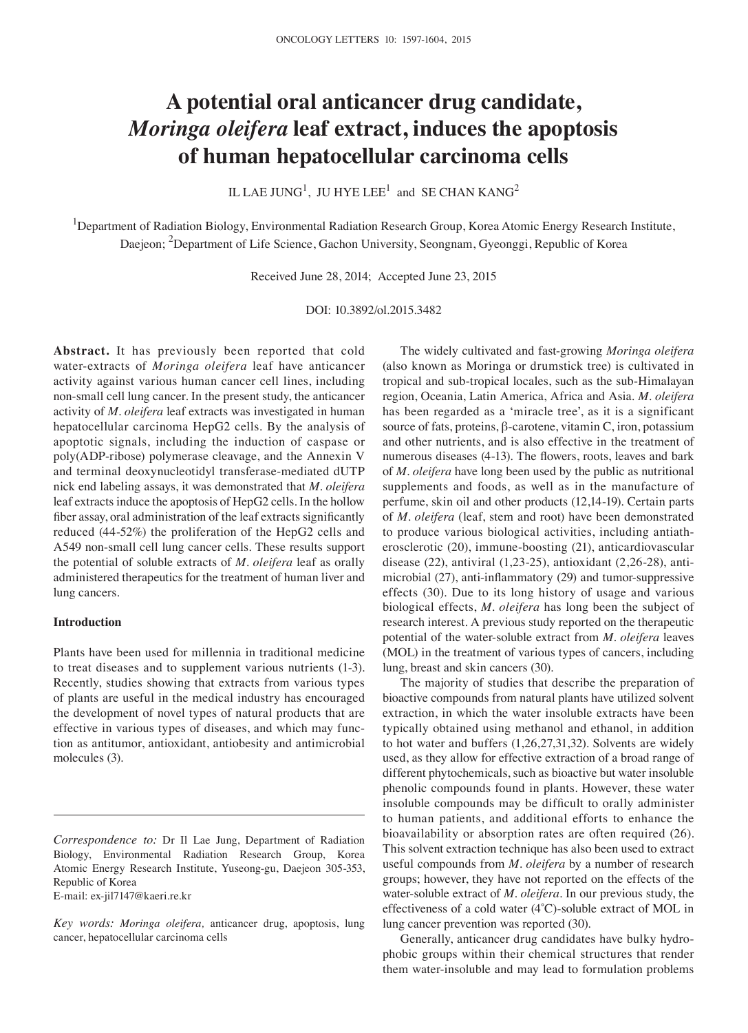# **A potential oral anticancer drug candidate,**  *Moringa oleifera* **leaf extract, induces the apoptosis of human hepatocellular carcinoma cells**

IL LAE JUNG<sup>1</sup>, JU HYE LEE<sup>1</sup> and SE CHAN KANG<sup>2</sup>

<sup>1</sup>Department of Radiation Biology, Environmental Radiation Research Group, Korea Atomic Energy Research Institute, Daejeon; <sup>2</sup>Department of Life Science, Gachon University, Seongnam, Gyeonggi, Republic of Korea

Received June 28, 2014; Accepted June 23, 2015

DOI: 10.3892/ol.2015.3482

**Abstract.** It has previously been reported that cold water-extracts of *Moringa oleifera* leaf have anticancer activity against various human cancer cell lines, including non-small cell lung cancer. In the present study, the anticancer activity of *M. oleifera* leaf extracts was investigated in human hepatocellular carcinoma HepG2 cells. By the analysis of apoptotic signals, including the induction of caspase or poly(ADP-ribose) polymerase cleavage, and the Annexin V and terminal deoxynucleotidyl transferase-mediated dUTP nick end labeling assays, it was demonstrated that *M. oleifera*  leaf extracts induce the apoptosis of HepG2 cells. In the hollow fiber assay, oral administration of the leaf extracts significantly reduced (44-52%) the proliferation of the HepG2 cells and A549 non-small cell lung cancer cells. These results support the potential of soluble extracts of *M. oleifera* leaf as orally administered therapeutics for the treatment of human liver and lung cancers.

## **Introduction**

Plants have been used for millennia in traditional medicine to treat diseases and to supplement various nutrients (1-3). Recently, studies showing that extracts from various types of plants are useful in the medical industry has encouraged the development of novel types of natural products that are effective in various types of diseases, and which may function as antitumor, antioxidant, antiobesity and antimicrobial molecules (3).

E-mail: ex-jil7147@kaeri.re.kr

The widely cultivated and fast-growing *Moringa oleifera*  (also known as Moringa or drumstick tree) is cultivated in tropical and sub-tropical locales, such as the sub-Himalayan region, Oceania, Latin America, Africa and Asia. *M. oleifera* has been regarded as a 'miracle tree', as it is a significant source of fats, proteins, β-carotene, vitamin C, iron, potassium and other nutrients, and is also effective in the treatment of numerous diseases (4-13). The flowers, roots, leaves and bark of *M. oleifera* have long been used by the public as nutritional supplements and foods, as well as in the manufacture of perfume, skin oil and other products (12,14-19). Certain parts of *M. oleifera* (leaf, stem and root) have been demonstrated to produce various biological activities, including antiatherosclerotic (20), immune-boosting (21), anticardiovascular disease (22), antiviral (1,23-25), antioxidant (2,26-28), antimicrobial (27), anti-inflammatory (29) and tumor-suppressive effects (30). Due to its long history of usage and various biological effects, *M. oleifera* has long been the subject of research interest. A previous study reported on the therapeutic potential of the water-soluble extract from *M. oleifera* leaves (MOL) in the treatment of various types of cancers, including lung, breast and skin cancers (30).

The majority of studies that describe the preparation of bioactive compounds from natural plants have utilized solvent extraction, in which the water insoluble extracts have been typically obtained using methanol and ethanol, in addition to hot water and buffers (1,26,27,31,32). Solvents are widely used, as they allow for effective extraction of a broad range of different phytochemicals, such as bioactive but water insoluble phenolic compounds found in plants. However, these water insoluble compounds may be difficult to orally administer to human patients, and additional efforts to enhance the bioavailability or absorption rates are often required (26). This solvent extraction technique has also been used to extract useful compounds from *M. oleifera* by a number of research groups; however, they have not reported on the effects of the water-soluble extract of *M. oleifera*. In our previous study, the effectiveness of a cold water (4˚C)‑soluble extract of MOL in lung cancer prevention was reported (30).

Generally, anticancer drug candidates have bulky hydrophobic groups within their chemical structures that render them water-insoluble and may lead to formulation problems

*Correspondence to:* Dr Il Lae Jung, Department of Radiation Biology, Environmental Radiation Research Group, Korea Atomic Energy Research Institute, Yuseong-gu, Daejeon 305-353, Republic of Korea

*Key words: Moringa oleifera,* anticancer drug, apoptosis, lung cancer, hepatocellular carcinoma cells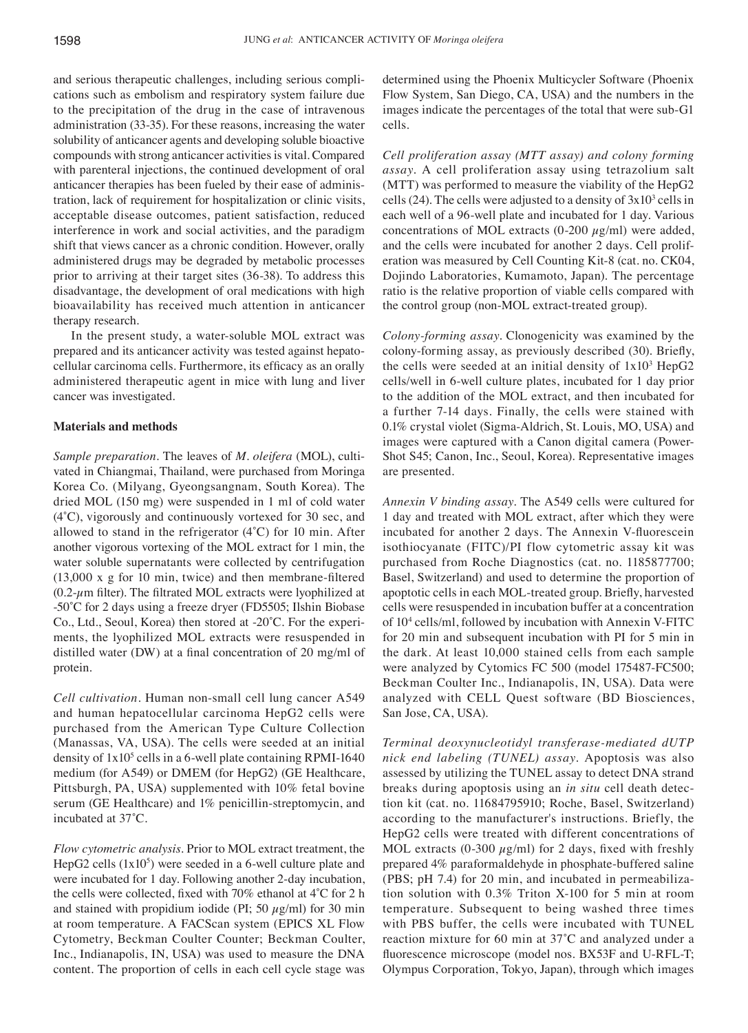and serious therapeutic challenges, including serious complications such as embolism and respiratory system failure due to the precipitation of the drug in the case of intravenous administration (33-35). For these reasons, increasing the water solubility of anticancer agents and developing soluble bioactive compounds with strong anticancer activities is vital. Compared with parenteral injections, the continued development of oral anticancer therapies has been fueled by their ease of administration, lack of requirement for hospitalization or clinic visits, acceptable disease outcomes, patient satisfaction, reduced interference in work and social activities, and the paradigm shift that views cancer as a chronic condition. However, orally administered drugs may be degraded by metabolic processes prior to arriving at their target sites (36-38). To address this disadvantage, the development of oral medications with high bioavailability has received much attention in anticancer therapy research.

In the present study, a water-soluble MOL extract was prepared and its anticancer activity was tested against hepatocellular carcinoma cells. Furthermore, its efficacy as an orally administered therapeutic agent in mice with lung and liver cancer was investigated.

# **Materials and methods**

*Sample preparation.* The leaves of *M. oleifera* (MOL), cultivated in Chiangmai, Thailand, were purchased from Moringa Korea Co. (Milyang, Gyeongsangnam, South Korea). The dried MOL (150 mg) were suspended in 1 ml of cold water (4˚C), vigorously and continuously vortexed for 30 sec, and allowed to stand in the refrigerator (4˚C) for 10 min. After another vigorous vortexing of the MOL extract for 1 min, the water soluble supernatants were collected by centrifugation  $(13,000 \times g)$  for 10 min, twice) and then membrane-filtered  $(0.2- \mu m$  filter). The filtrated MOL extracts were lyophilized at -50˚C for 2 days using a freeze dryer (FD5505; Ilshin Biobase Co., Ltd., Seoul, Korea) then stored at ‑20˚C. For the experiments, the lyophilized MOL extracts were resuspended in distilled water (DW) at a final concentration of 20 mg/ml of protein.

*Cell cultivation.* Human non-small cell lung cancer A549 and human hepatocellular carcinoma HepG2 cells were purchased from the American Type Culture Collection (Manassas, VA, USA). The cells were seeded at an initial density of  $1x10<sup>5</sup>$  cells in a 6-well plate containing RPMI-1640 medium (for A549) or DMEM (for HepG2) (GE Healthcare, Pittsburgh, PA, USA) supplemented with 10% fetal bovine serum (GE Healthcare) and 1% penicillin-streptomycin, and incubated at 37˚C.

*Flow cytometric analysis.* Prior to MOL extract treatment, the HepG2 cells  $(1x10<sup>5</sup>)$  were seeded in a 6-well culture plate and were incubated for 1 day. Following another 2-day incubation, the cells were collected, fixed with 70% ethanol at 4˚C for 2 h and stained with propidium iodide (PI; 50  $\mu$ g/ml) for 30 min at room temperature. A FACScan system (EPICS XL Flow Cytometry, Beckman Coulter Counter; Beckman Coulter, Inc., Indianapolis, IN, USA) was used to measure the DNA content. The proportion of cells in each cell cycle stage was

determined using the Phoenix Multicycler Software (Phoenix Flow System, San Diego, CA, USA) and the numbers in the images indicate the percentages of the total that were sub-G1 cells.

*Cell proliferation assay (MTT assay) and colony forming assay.* A cell proliferation assay using tetrazolium salt (MTT) was performed to measure the viability of the HepG2 cells (24). The cells were adjusted to a density of  $3x10^3$  cells in each well of a 96-well plate and incubated for 1 day. Various concentrations of MOL extracts  $(0-200 \mu g/ml)$  were added, and the cells were incubated for another 2 days. Cell proliferation was measured by Cell Counting Kit-8 (cat. no. CK04, Dojindo Laboratories, Kumamoto, Japan). The percentage ratio is the relative proportion of viable cells compared with the control group (non-MOL extract-treated group).

*Colony‑forming assay.* Clonogenicity was examined by the colony‑forming assay, as previously described (30). Briefly, the cells were seeded at an initial density of  $1x10<sup>3</sup>$  HepG2 cells/well in 6-well culture plates, incubated for 1 day prior to the addition of the MOL extract, and then incubated for a further 7-14 days. Finally, the cells were stained with 0.1% crystal violet (Sigma-Aldrich, St. Louis, MO, USA) and images were captured with a Canon digital camera (Power-Shot S45; Canon, Inc., Seoul, Korea). Representative images are presented.

*Annexin V binding assay.* The A549 cells were cultured for 1 day and treated with MOL extract, after which they were incubated for another 2 days. The Annexin V-fluorescein isothiocyanate (FITC)/PI flow cytometric assay kit was purchased from Roche Diagnostics (cat. no. 1185877700; Basel, Switzerland) and used to determine the proportion of apoptotic cells in each MOL‑treated group. Briefly, harvested cells were resuspended in incubation buffer at a concentration of 104 cells/ml, followed by incubation with Annexin V-FITC for 20 min and subsequent incubation with PI for 5 min in the dark. At least 10,000 stained cells from each sample were analyzed by Cytomics FC 500 (model 175487-FC500; Beckman Coulter Inc., Indianapolis, IN, USA). Data were analyzed with CELL Quest software (BD Biosciences, San Jose, CA, USA).

*Terminal deoxynucleotidyl transferase‑mediated dUTP nick end labeling (TUNEL) assay.* Apoptosis was also assessed by utilizing the TUNEL assay to detect DNA strand breaks during apoptosis using an *in situ* cell death detection kit (cat. no. 11684795910; Roche, Basel, Switzerland) according to the manufacturer's instructions. Briefly, the HepG2 cells were treated with different concentrations of MOL extracts (0-300  $\mu$ g/ml) for 2 days, fixed with freshly prepared 4% paraformaldehyde in phosphate-buffered saline (PBS; pH 7.4) for 20 min, and incubated in permeabilization solution with 0.3% Triton X-100 for 5 min at room temperature. Subsequent to being washed three times with PBS buffer, the cells were incubated with TUNEL reaction mixture for 60 min at 37˚C and analyzed under a fluorescence microscope (model nos. BX53F and U‑RFL‑T; Olympus Corporation, Tokyo, Japan), through which images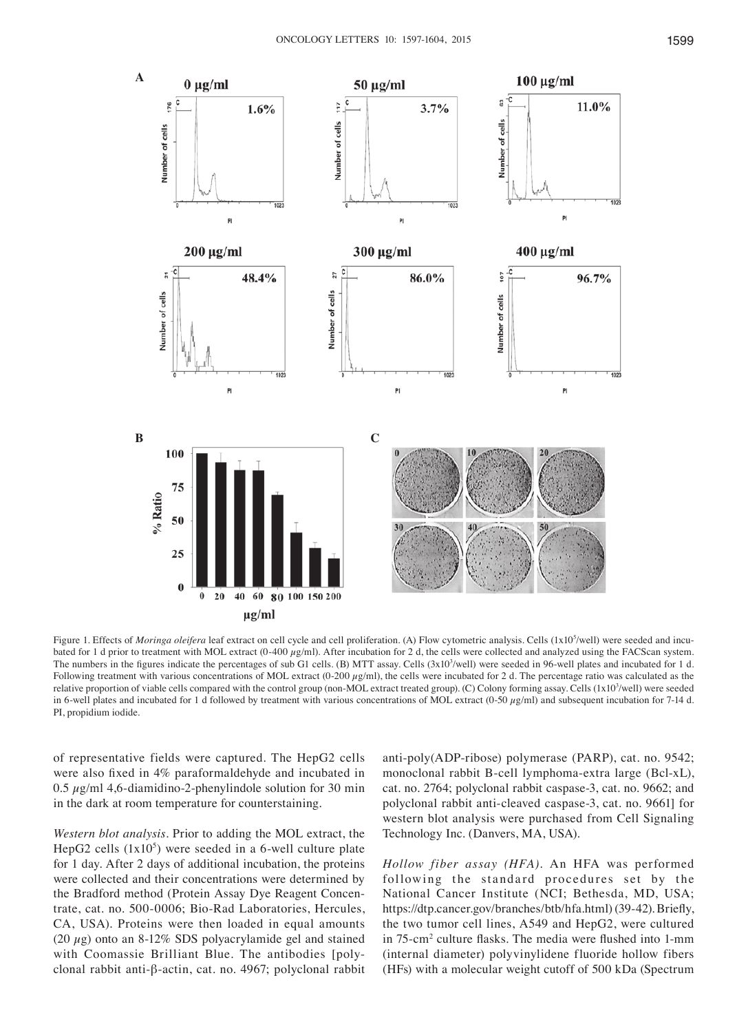

Figure 1. Effects of *Moringa oleifera* leaf extract on cell cycle and cell proliferation. (A) Flow cytometric analysis. Cells (1x10<sup>5</sup>/well) were seeded and incubated for 1 d prior to treatment with MOL extract (0-400  $\mu$ g/ml). After incubation for 2 d, the cells were collected and analyzed using the FACScan system. The numbers in the figures indicate the percentages of sub G1 cells. (B) MTT assay. Cells  $(3x10<sup>3</sup>/well)$  were seeded in 96-well plates and incubated for 1 d. Following treatment with various concentrations of MOL extract (0-200  $\mu$ g/ml), the cells were incubated for 2 d. The percentage ratio was calculated as the relative proportion of viable cells compared with the control group (non-MOL extract treated group). (C) Colony forming assay. Cells (1x10<sup>3</sup>/well) were seeded in 6-well plates and incubated for 1 d followed by treatment with various concentrations of MOL extract (0-50  $\mu$ g/ml) and subsequent incubation for 7-14 d. PI, propidium iodide.

of representative fields were captured. The HepG2 cells were also fixed in 4% paraformaldehyde and incubated in  $0.5 \mu$ g/ml 4,6-diamidino-2-phenylindole solution for 30 min in the dark at room temperature for counterstaining.

*Western blot analysis.* Prior to adding the MOL extract, the HepG2 cells  $(1x10<sup>5</sup>)$  were seeded in a 6-well culture plate for 1 day. After 2 days of additional incubation, the proteins were collected and their concentrations were determined by the Bradford method (Protein Assay Dye Reagent Concentrate, cat. no. 500-0006; Bio-Rad Laboratories, Hercules, CA, USA). Proteins were then loaded in equal amounts (20  $\mu$ g) onto an 8-12% SDS polyacrylamide gel and stained with Coomassie Brilliant Blue. The antibodies [polyclonal rabbit anti-β-actin, cat. no. 4967; polyclonal rabbit

anti-poly(ADP-ribose) polymerase (PARP), cat. no. 9542; monoclonal rabbit B-cell lymphoma-extra large (Bcl-xL), cat. no. 2764; polyclonal rabbit caspase-3, cat. no. 9662; and polyclonal rabbit anti-cleaved caspase-3, cat. no. 9661] for western blot analysis were purchased from Cell Signaling Technology Inc. (Danvers, MA, USA).

*Hollow fiber assay (HFA).* An HFA was performed following the standard procedures set by the National Cancer Institute (NCI; Bethesda, MD, USA; https://dtp.cancer.gov/branches/btb/hfa.html)(39-42). Briefly, the two tumor cell lines, A549 and HepG2, were cultured in 75-cm2 culture flasks. The media were flushed into 1‑mm (internal diameter) polyvinylidene fluoride hollow fibers (HFs) with a molecular weight cutoff of 500 kDa (Spectrum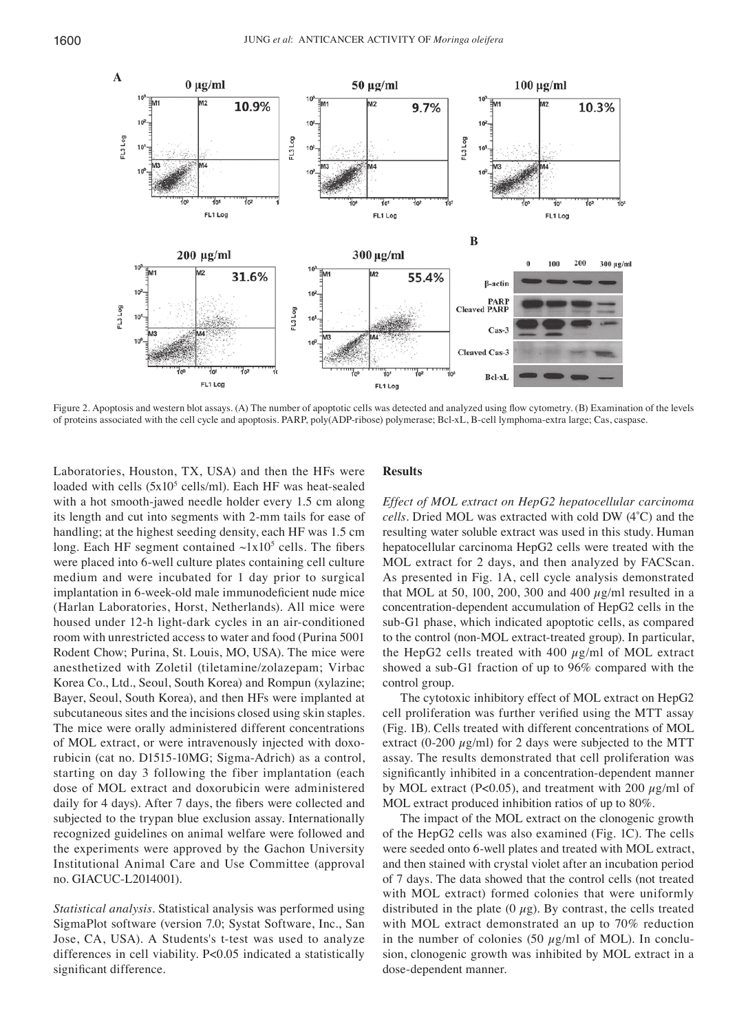

Figure 2. Apoptosis and western blot assays. (A) The number of apoptotic cells was detected and analyzed using flow cytometry. (B) Examination of the levels of proteins associated with the cell cycle and apoptosis. PARP, poly(ADP-ribose) polymerase; Bcl-xL, B-cell lymphoma-extra large; Cas, caspase.

Laboratories, Houston, TX, USA) and then the HFs were loaded with cells  $(5x10^5 \text{ cells/ml})$ . Each HF was heat-sealed with a hot smooth-jawed needle holder every 1.5 cm along its length and cut into segments with 2-mm tails for ease of handling; at the highest seeding density, each HF was 1.5 cm long. Each HF segment contained  $\sim 1x10^5$  cells. The fibers were placed into 6-well culture plates containing cell culture medium and were incubated for 1 day prior to surgical implantation in 6‑week‑old male immunodeficient nude mice (Harlan Laboratories, Horst, Netherlands). All mice were housed under 12-h light-dark cycles in an air-conditioned room with unrestricted access to water and food (Purina 5001 Rodent Chow; Purina, St. Louis, MO, USA). The mice were anesthetized with Zoletil (tiletamine/zolazepam; Virbac Korea Co., Ltd., Seoul, South Korea) and Rompun (xylazine; Bayer, Seoul, South Korea), and then HFs were implanted at subcutaneous sites and the incisions closed using skin staples. The mice were orally administered different concentrations of MOL extract, or were intravenously injected with doxorubicin (cat no. D1515-10MG; Sigma-Adrich) as a control, starting on day 3 following the fiber implantation (each dose of MOL extract and doxorubicin were administered daily for 4 days). After 7 days, the fibers were collected and subjected to the trypan blue exclusion assay. Internationally recognized guidelines on animal welfare were followed and the experiments were approved by the Gachon University Institutional Animal Care and Use Committee (approval no. GIACUC-L2014001).

*Statistical analysis.* Statistical analysis was performed using SigmaPlot software (version 7.0; Systat Software, Inc., San Jose, CA, USA). A Students's t-test was used to analyze differences in cell viability. P<0.05 indicated a statistically significant difference.

# **Results**

*Effect of MOL extract on HepG2 hepatocellular carcinoma cells.* Dried MOL was extracted with cold DW (4˚C) and the resulting water soluble extract was used in this study. Human hepatocellular carcinoma HepG2 cells were treated with the MOL extract for 2 days, and then analyzed by FACScan. As presented in Fig. 1A, cell cycle analysis demonstrated that MOL at 50, 100, 200, 300 and 400  $\mu$ g/ml resulted in a concentration-dependent accumulation of HepG2 cells in the sub-G1 phase, which indicated apoptotic cells, as compared to the control (non-MOL extract-treated group). In particular, the HepG2 cells treated with 400  $\mu$ g/ml of MOL extract showed a sub-G1 fraction of up to 96% compared with the control group.

The cytotoxic inhibitory effect of MOL extract on HepG2 cell proliferation was further verified using the MTT assay (Fig. 1B). Cells treated with different concentrations of MOL extract (0-200  $\mu$ g/ml) for 2 days were subjected to the MTT assay. The results demonstrated that cell proliferation was significantly inhibited in a concentration-dependent manner by MOL extract (P<0.05), and treatment with 200  $\mu$ g/ml of MOL extract produced inhibition ratios of up to 80%.

The impact of the MOL extract on the clonogenic growth of the HepG2 cells was also examined (Fig. 1C). The cells were seeded onto 6-well plates and treated with MOL extract, and then stained with crystal violet after an incubation period of 7 days. The data showed that the control cells (not treated with MOL extract) formed colonies that were uniformly distributed in the plate  $(0 \mu g)$ . By contrast, the cells treated with MOL extract demonstrated an up to 70% reduction in the number of colonies (50  $\mu$ g/ml of MOL). In conclusion, clonogenic growth was inhibited by MOL extract in a dose-dependent manner.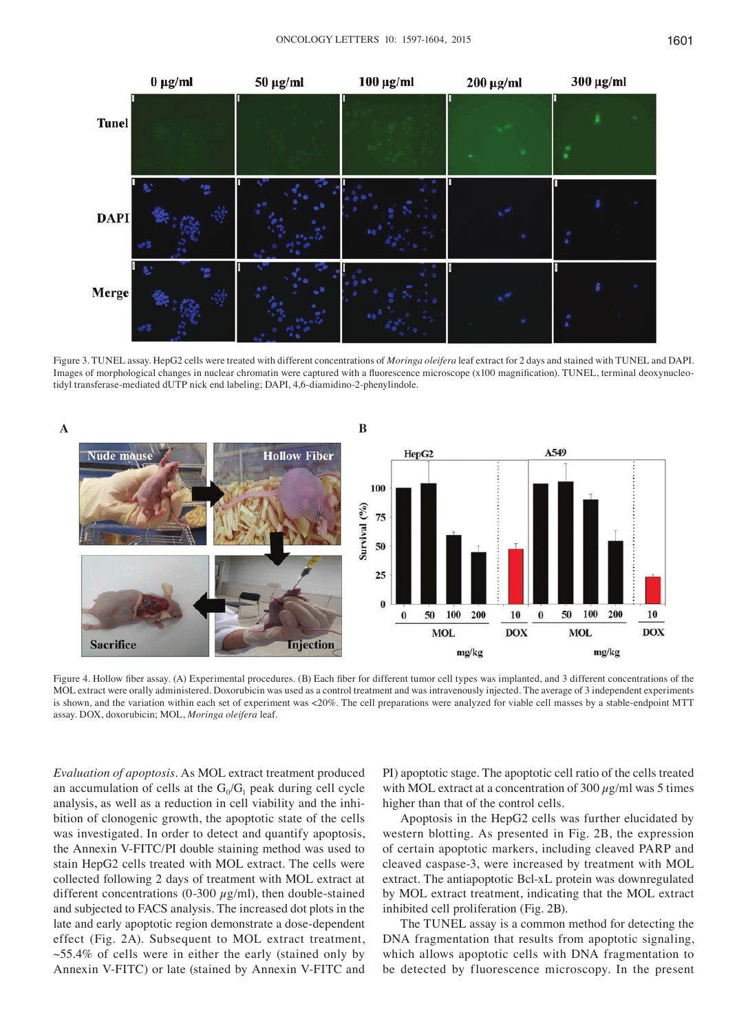

Figure 3. TUNEL assay. HepG2 cells were treated with different concentrations of *Moringa oleifera* leaf extract for 2 days and stained with TUNEL and DAPI. Images of morphological changes in nuclear chromatin were captured with a fluorescence microscope (x100 magnification). TUNEL, terminal deoxynucleotidyl transferase-mediated dUTP nick end labeling; DAPI, 4,6-diamidino-2-phenylindole.



Figure 4. Hollow fiber assay. (A) Experimental procedures. (B) Each fiber for different tumor cell types was implanted, and 3 different concentrations of the MOL extract were orally administered. Doxorubicin was used as a control treatment and was intravenously injected. The average of 3 independent experiments is shown, and the variation within each set of experiment was <20%. The cell preparations were analyzed for viable cell masses by a stable-endpoint MTT assay. DOX, doxorubicin; MOL, *Moringa oleifera* leaf.

*Evaluation of apoptosis.* As MOL extract treatment produced an accumulation of cells at the  $G_0/G_1$  peak during cell cycle analysis, as well as a reduction in cell viability and the inhibition of clonogenic growth, the apoptotic state of the cells was investigated. In order to detect and quantify apoptosis, the Annexin V-FITC/PI double staining method was used to stain HepG2 cells treated with MOL extract. The cells were collected following 2 days of treatment with MOL extract at different concentrations (0-300  $\mu$ g/ml), then double-stained and subjected to FACS analysis. The increased dot plots in the late and early apoptotic region demonstrate a dose-dependent effect (Fig. 2A). Subsequent to MOL extract treatment,  $\sim$  55.4% of cells were in either the early (stained only by Annexin V-FITC) or late (stained by Annexin V-FITC and PI) apoptotic stage. The apoptotic cell ratio of the cells treated with MOL extract at a concentration of 300  $\mu$ g/ml was 5 times higher than that of the control cells.

Apoptosis in the HepG2 cells was further elucidated by western blotting. As presented in Fig. 2B, the expression of certain apoptotic markers, including cleaved PARP and cleaved caspase-3, were increased by treatment with MOL extract. The antiapoptotic Bcl-xL protein was downregulated by MOL extract treatment, indicating that the MOL extract inhibited cell proliferation (Fig. 2B).

The TUNEL assay is a common method for detecting the DNA fragmentation that results from apoptotic signaling, which allows apoptotic cells with DNA fragmentation to be detected by fluorescence microscopy. In the present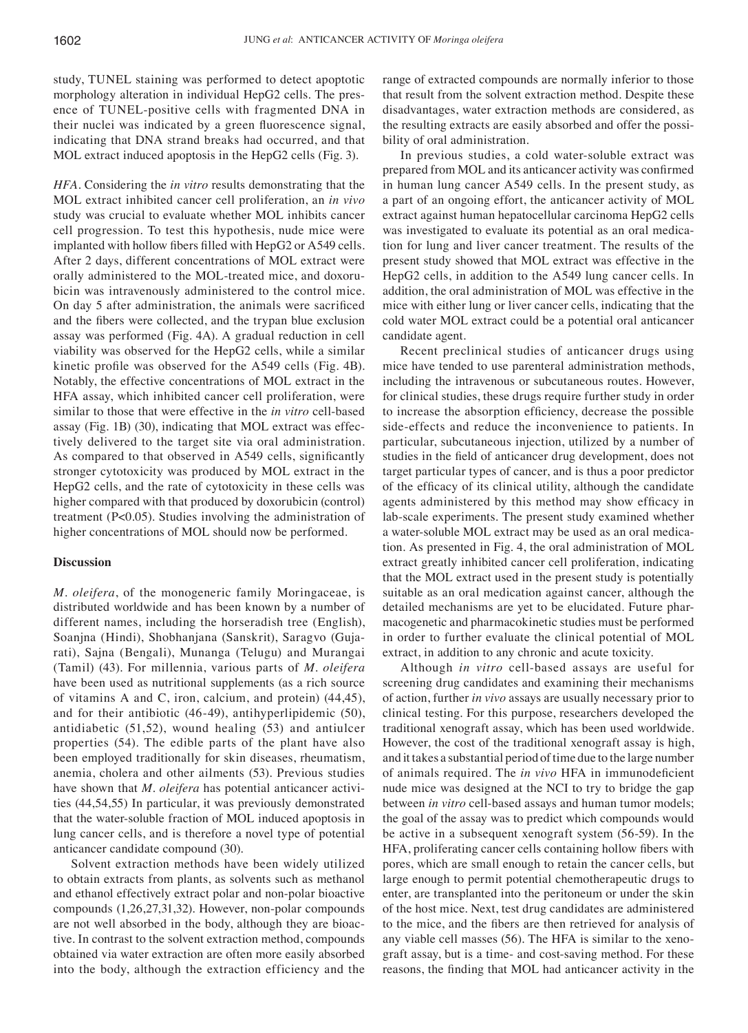study, TUNEL staining was performed to detect apoptotic morphology alteration in individual HepG2 cells. The presence of TUNEL-positive cells with fragmented DNA in their nuclei was indicated by a green fluorescence signal, indicating that DNA strand breaks had occurred, and that MOL extract induced apoptosis in the HepG2 cells (Fig. 3).

*HFA.* Considering the *in vitro* results demonstrating that the MOL extract inhibited cancer cell proliferation, an *in vivo* study was crucial to evaluate whether MOL inhibits cancer cell progression. To test this hypothesis, nude mice were implanted with hollow fibers filled with HepG2 or A549 cells. After 2 days, different concentrations of MOL extract were orally administered to the MOL-treated mice, and doxorubicin was intravenously administered to the control mice. On day 5 after administration, the animals were sacrificed and the fibers were collected, and the trypan blue exclusion assay was performed (Fig. 4A). A gradual reduction in cell viability was observed for the HepG2 cells, while a similar kinetic profile was observed for the A549 cells (Fig. 4B). Notably, the effective concentrations of MOL extract in the HFA assay, which inhibited cancer cell proliferation, were similar to those that were effective in the *in vitro* cell-based assay (Fig. 1B) (30), indicating that MOL extract was effectively delivered to the target site via oral administration. As compared to that observed in A549 cells, significantly stronger cytotoxicity was produced by MOL extract in the HepG2 cells, and the rate of cytotoxicity in these cells was higher compared with that produced by doxorubicin (control) treatment (P<0.05). Studies involving the administration of higher concentrations of MOL should now be performed.

### **Discussion**

*M. oleifera*, of the monogeneric family Moringaceae, is distributed worldwide and has been known by a number of different names, including the horseradish tree (English), Soanjna (Hindi), Shobhanjana (Sanskrit), Saragvo (Gujarati), Sajna (Bengali), Munanga (Telugu) and Murangai (Tamil) (43). For millennia, various parts of *M. oleifera* have been used as nutritional supplements (as a rich source of vitamins A and C, iron, calcium, and protein) (44,45), and for their antibiotic (46-49), antihyperlipidemic (50), antidiabetic (51,52), wound healing (53) and antiulcer properties (54). The edible parts of the plant have also been employed traditionally for skin diseases, rheumatism, anemia, cholera and other ailments (53). Previous studies have shown that *M. oleifera* has potential anticancer activities (44,54,55) In particular, it was previously demonstrated that the water-soluble fraction of MOL induced apoptosis in lung cancer cells, and is therefore a novel type of potential anticancer candidate compound (30).

Solvent extraction methods have been widely utilized to obtain extracts from plants, as solvents such as methanol and ethanol effectively extract polar and non-polar bioactive compounds (1,26,27,31,32). However, non-polar compounds are not well absorbed in the body, although they are bioactive. In contrast to the solvent extraction method, compounds obtained via water extraction are often more easily absorbed into the body, although the extraction efficiency and the range of extracted compounds are normally inferior to those that result from the solvent extraction method. Despite these disadvantages, water extraction methods are considered, as the resulting extracts are easily absorbed and offer the possibility of oral administration.

In previous studies, a cold water-soluble extract was prepared from MOL and its anticancer activity was confirmed in human lung cancer A549 cells. In the present study, as a part of an ongoing effort, the anticancer activity of MOL extract against human hepatocellular carcinoma HepG2 cells was investigated to evaluate its potential as an oral medication for lung and liver cancer treatment. The results of the present study showed that MOL extract was effective in the HepG2 cells, in addition to the A549 lung cancer cells. In addition, the oral administration of MOL was effective in the mice with either lung or liver cancer cells, indicating that the cold water MOL extract could be a potential oral anticancer candidate agent.

Recent preclinical studies of anticancer drugs using mice have tended to use parenteral administration methods, including the intravenous or subcutaneous routes. However, for clinical studies, these drugs require further study in order to increase the absorption efficiency, decrease the possible side-effects and reduce the inconvenience to patients. In particular, subcutaneous injection, utilized by a number of studies in the field of anticancer drug development, does not target particular types of cancer, and is thus a poor predictor of the efficacy of its clinical utility, although the candidate agents administered by this method may show efficacy in lab-scale experiments. The present study examined whether a water-soluble MOL extract may be used as an oral medication. As presented in Fig. 4, the oral administration of MOL extract greatly inhibited cancer cell proliferation, indicating that the MOL extract used in the present study is potentially suitable as an oral medication against cancer, although the detailed mechanisms are yet to be elucidated. Future pharmacogenetic and pharmacokinetic studies must be performed in order to further evaluate the clinical potential of MOL extract, in addition to any chronic and acute toxicity.

Although *in vitro* cell-based assays are useful for screening drug candidates and examining their mechanisms of action, further *in vivo* assays are usually necessary prior to clinical testing. For this purpose, researchers developed the traditional xenograft assay, which has been used worldwide. However, the cost of the traditional xenograft assay is high, and it takes a substantial period of time due to the large number of animals required. The *in vivo* HFA in immunodeficient nude mice was designed at the NCI to try to bridge the gap between *in vitro* cell-based assays and human tumor models; the goal of the assay was to predict which compounds would be active in a subsequent xenograft system (56-59). In the HFA, proliferating cancer cells containing hollow fibers with pores, which are small enough to retain the cancer cells, but large enough to permit potential chemotherapeutic drugs to enter, are transplanted into the peritoneum or under the skin of the host mice. Next, test drug candidates are administered to the mice, and the fibers are then retrieved for analysis of any viable cell masses (56). The HFA is similar to the xenograft assay, but is a time- and cost-saving method. For these reasons, the finding that MOL had anticancer activity in the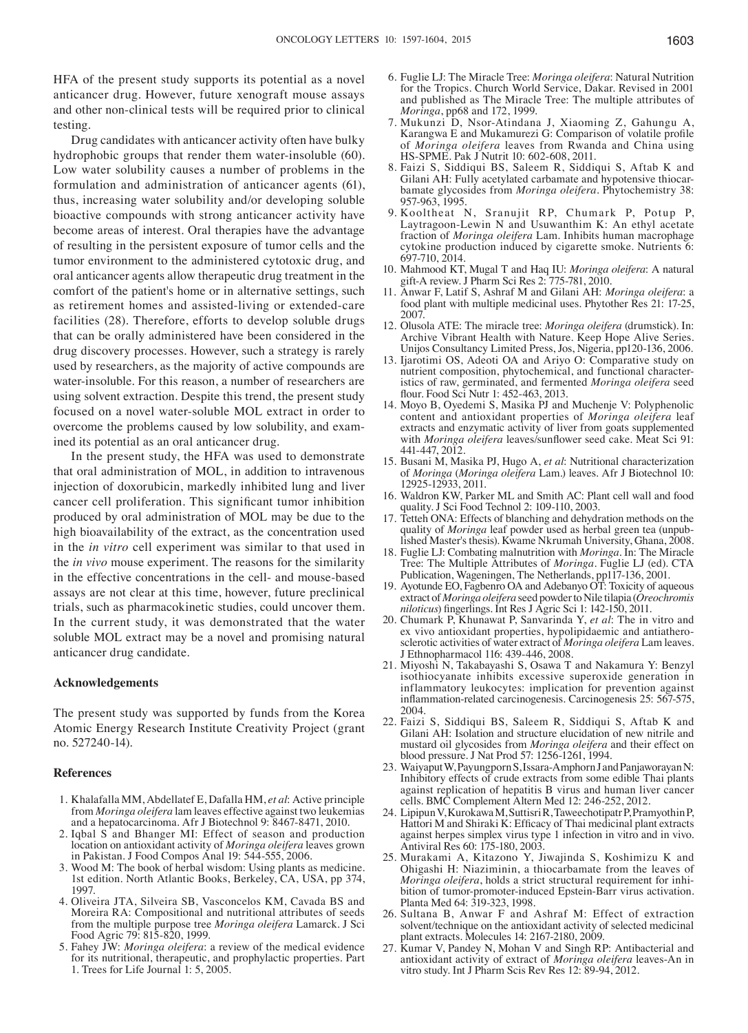HFA of the present study supports its potential as a novel anticancer drug. However, future xenograft mouse assays and other non-clinical tests will be required prior to clinical testing.

Drug candidates with anticancer activity often have bulky hydrophobic groups that render them water-insoluble (60). Low water solubility causes a number of problems in the formulation and administration of anticancer agents (61), thus, increasing water solubility and/or developing soluble bioactive compounds with strong anticancer activity have become areas of interest. Oral therapies have the advantage of resulting in the persistent exposure of tumor cells and the tumor environment to the administered cytotoxic drug, and oral anticancer agents allow therapeutic drug treatment in the comfort of the patient's home or in alternative settings, such as retirement homes and assisted-living or extended-care facilities (28). Therefore, efforts to develop soluble drugs that can be orally administered have been considered in the drug discovery processes. However, such a strategy is rarely used by researchers, as the majority of active compounds are water-insoluble. For this reason, a number of researchers are using solvent extraction. Despite this trend, the present study focused on a novel water-soluble MOL extract in order to overcome the problems caused by low solubility, and examined its potential as an oral anticancer drug.

In the present study, the HFA was used to demonstrate that oral administration of MOL, in addition to intravenous injection of doxorubicin, markedly inhibited lung and liver cancer cell proliferation. This significant tumor inhibition produced by oral administration of MOL may be due to the high bioavailability of the extract, as the concentration used in the *in vitro* cell experiment was similar to that used in the *in vivo* mouse experiment. The reasons for the similarity in the effective concentrations in the cell- and mouse-based assays are not clear at this time, however, future preclinical trials, such as pharmacokinetic studies, could uncover them. In the current study, it was demonstrated that the water soluble MOL extract may be a novel and promising natural anticancer drug candidate.

### **Acknowledgements**

The present study was supported by funds from the Korea Atomic Energy Research Institute Creativity Project (grant no. 527240-14).

#### **References**

- 1. Khalafalla MM, Abdellatef E, Dafalla HM, *et al*: Active principle from *Moringa oleifera* lam leaves effective against two leukemias and a hepatocarcinoma. Afr J Biotechnol 9: 8467-8471, 2010.
- 2. Iqbal S and Bhanger MI: Effect of season and production location on antioxidant activity of *Moringa oleifera* leaves grown in Pakistan. J Food Compos Anal 19: 544-555, 2006.
- 3. Wood M: The book of herbal wisdom: Using plants as medicine. 1st edition. North Atlantic Books, Berkeley, CA, USA, pp 374, 1997.
- 4. Oliveira JTA, Silveira SB, Vasconcelos KM, Cavada BS and Moreira RA: Compositional and nutritional attributes of seeds from the multiple purpose tree *Moringa oleifera* Lamarck. J Sci Food Agric 79: 815-820, 1999.
- 5. Fahey JW: *Moringa oleifera*: a review of the medical evidence for its nutritional, therapeutic, and prophylactic properties. Part 1. Trees for Life Journal 1: 5, 2005.
- 6. Fuglie LJ: The Miracle Tree: *Moringa oleifera*: Natural Nutrition for the Tropics. Church World Service, Dakar. Revised in 2001 and published as The Miracle Tree: The multiple attributes of *Moringa*, pp68 and 172, 1999.
- 7. Mukunzi D, Nsor-Atindana J, Xiaoming Z, Gahungu A, Karangwa E and Mukamurezi G: Comparison of volatile profile of *Moringa oleifera* leaves from Rwanda and China using HS-SPME. Pak J Nutrit 10: 602-608, 2011.
- 8. Faizi S, Siddiqui BS, Saleem R, Siddiqui S, Aftab K and Gilani AH: Fully acetylated carbamate and hypotensive thiocarbamate glycosides from *Moringa oleifera*. Phytochemistry 38: 957-963, 1995.
- 9. Kooltheat N, Sranujit RP, Chumark P, Potup P, Laytragoon-Lewin N and Usuwanthim K: An ethyl acetate fraction of *Moringa oleifera* Lam. Inhibits human macrophage cytokine production induced by cigarette smoke. Nutrients 6: 697-710, 2014.
- 10. Mahmood KT, Mugal T and Haq IU: *Moringa oleifera*: A natural gift-A review. J Pharm Sci Res 2: 775-781, 2010.
- 11. Anwar F, Latif S, Ashraf M and Gilani AH: *Moringa oleifera*: a food plant with multiple medicinal uses. Phytother Res 21: 17-25, 2007.
- 12. Olusola ATE: The miracle tree: *Moringa oleifera* (drumstick). In: Archive Vibrant Health with Nature. Keep Hope Alive Series. Unijos Consultancy Limited Press, Jos, Nigeria, pp120-136, 2006.
- 13. Ijarotimi OS, Adeoti OA and Ariyo O: Comparative study on nutrient composition, phytochemical, and functional characteristics of raw, germinated, and fermented *Moringa oleifera* seed flour. Food Sci Nutr 1: 452‑463, 2013.
- 14. Moyo B, Oyedemi S, Masika PJ and Muchenje V: Polyphenolic content and antioxidant properties of *Moringa oleifera* leaf extracts and enzymatic activity of liver from goats supplemented with *Moringa oleifera* leaves/sunflower seed cake. Meat Sci 91: 441-447, 2012.
- 15. Busani M, Masika PJ, Hugo A, *et al*: Nutritional characterization of *Moringa* (*Moringa oleifera* Lam.) leaves. Afr J Biotechnol 10: 12925-12933, 2011.
- 16. Waldron KW, Parker ML and Smith AC: Plant cell wall and food quality. J Sci Food Technol 2: 109-110, 2003.
- 17. Tetteh ONA: Effects of blanching and dehydration methods on the quality of *Moringa* leaf powder used as herbal green tea (unpublished Master's thesis). Kwame Nkrumah University, Ghana, 2008.
- 18. Fuglie LJ: Combating malnutrition with *Moringa*. In: The Miracle Tree: The Multiple Attributes of *Moringa*. Fuglie LJ (ed). CTA Publication, Wageningen, The Netherlands, pp117-136, 2001.
- 19. Ayotunde EO, Fagbenro OA and Adebanyo OT: Toxicity of aqueous extract of *Moringa oleifera* seed powder to Nile tilapia (*Oreochromis niloticus*) fingerlings. Int Res J Agric Sci 1: 142‑150, 2011.
- 20. Chumark P, Khunawat P, Sanvarinda Y, *et al*: The in vitro and ex vivo antioxidant properties, hypolipidaemic and antiatherosclerotic activities of water extract of *Moringa oleifera* Lam leaves. J Ethnopharmacol 116: 439-446, 2008.
- 21. Miyoshi N, Takabayashi S, Osawa T and Nakamura Y: Benzyl isothiocyanate inhibits excessive superoxide generation in inflammatory leukocytes: implication for prevention against inflammation-related carcinogenesis. Carcinogenesis 25: 567-575, 2004.
- 22. Faizi S, Siddiqui BS, Saleem R, Siddiqui S, Aftab K and Gilani AH: Isolation and structure elucidation of new nitrile and mustard oil glycosides from *Moringa oleifera* and their effect on blood pressure. J Nat Prod 57: 1256-1261, 1994.
- 23. Waiyaput W, Payungporn S, Issara-AmphornJ and PanjaworayanN: Inhibitory effects of crude extracts from some edible Thai plants against replication of hepatitis B virus and human liver cancer cells. BMC Complement Altern Med 12: 246-252, 2012.
- 24. Lipipun V, Kurokawa M, Suttisri R, TaweechotipatrP, PramyothinP, Hattori M and Shiraki K: Efficacy of Thai medicinal plant extracts against herpes simplex virus type 1 infection in vitro and in vivo. Antiviral Res 60: 175-180, 2003.
- 25. Murakami A, Kitazono Y, Jiwajinda S, Koshimizu K and Ohigashi H: Niaziminin, a thiocarbamate from the leaves of *Moringa oleifera*, holds a strict structural requirement for inhibition of tumor-promoter-induced Epstein-Barr virus activation. Planta Med 64: 319-323, 1998.
- 26. Sultana B, Anwar F and Ashraf M: Effect of extraction solvent/technique on the antioxidant activity of selected medicinal plant extracts. Molecules 14: 2167-2180, 2009.
- 27. Kumar V, Pandey N, Mohan V and Singh RP: Antibacterial and antioxidant activity of extract of *Moringa oleifera* leaves-An in vitro study. Int J Pharm Scis Rev Res 12: 89-94, 2012.